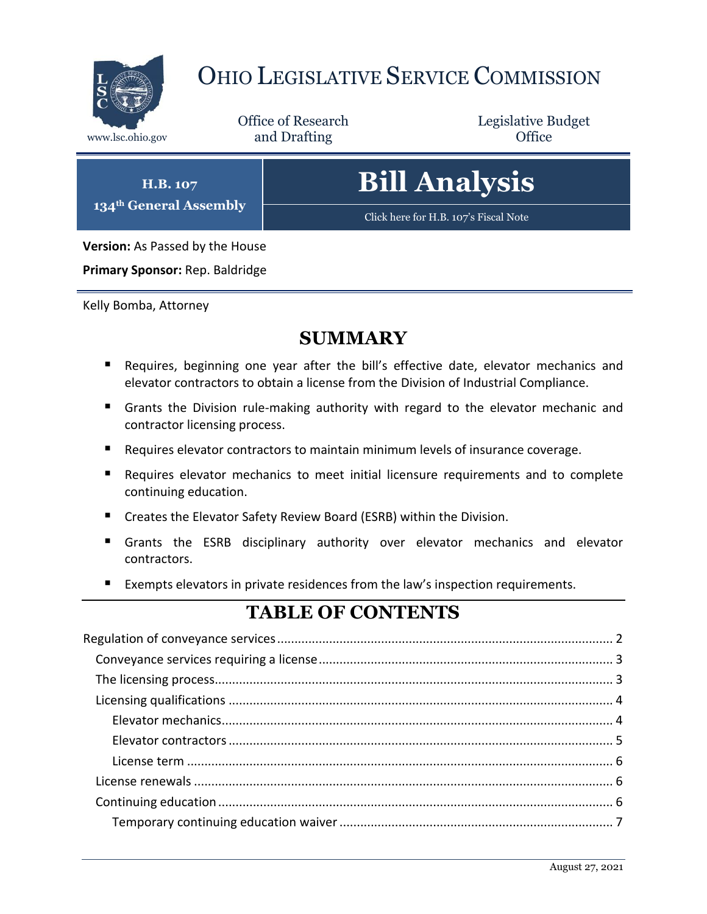

# OHIO LEGISLATIVE SERVICE COMMISSION

Office of Research www.lsc.ohio.gov **and Drafting Office** 

Legislative Budget

**H.B. 107 134th General Assembly**

# **Bill Analysis**

[Click here for H.B. 107's Fiscal Note](https://www.legislature.ohio.gov/legislation/legislation-documents?id=GA133-HB-415)

**Version:** As Passed by the House

**Primary Sponsor:** Rep. Baldridge

Kelly Bomba, Attorney

## **SUMMARY**

- Requires, beginning one year after the bill's effective date, elevator mechanics and elevator contractors to obtain a license from the Division of Industrial Compliance.
- Grants the Division rule-making authority with regard to the elevator mechanic and contractor licensing process.
- Requires elevator contractors to maintain minimum levels of insurance coverage.
- Requires elevator mechanics to meet initial licensure requirements and to complete continuing education.
- Creates the Elevator Safety Review Board (ESRB) within the Division.
- Grants the ESRB disciplinary authority over elevator mechanics and elevator contractors.
- Exempts elevators in private residences from the law's inspection requirements.

## **TABLE OF CONTENTS**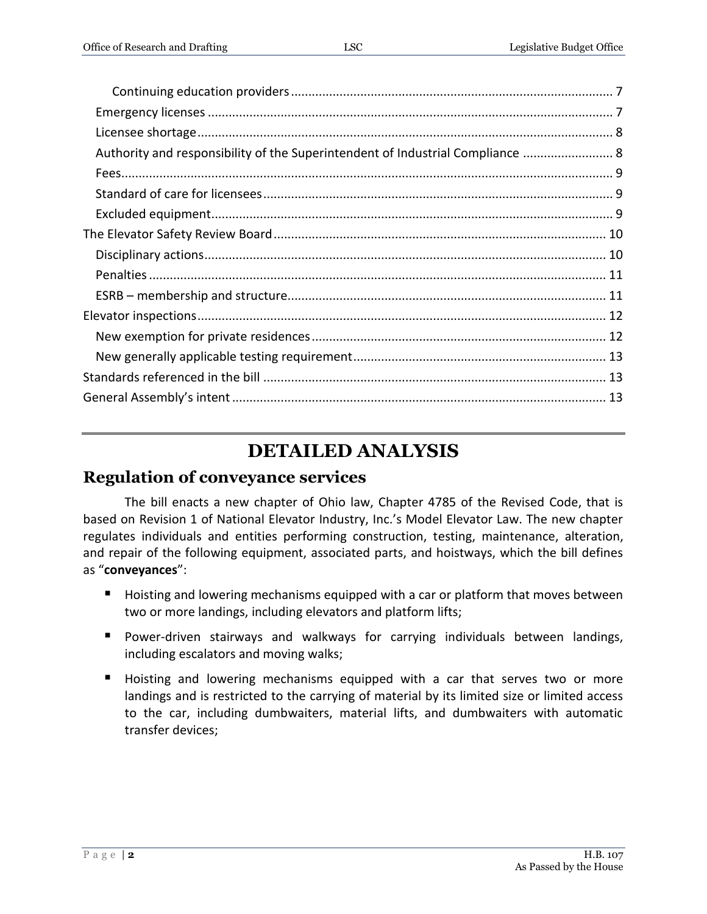| Authority and responsibility of the Superintendent of Industrial Compliance  8 |  |
|--------------------------------------------------------------------------------|--|
|                                                                                |  |
|                                                                                |  |
|                                                                                |  |
|                                                                                |  |
|                                                                                |  |
|                                                                                |  |
|                                                                                |  |
|                                                                                |  |
|                                                                                |  |
|                                                                                |  |
|                                                                                |  |
|                                                                                |  |

## **DETAILED ANALYSIS**

General Assembly's intent[............................................................................................................](#page-12-2) 13

### <span id="page-1-0"></span>**Regulation of conveyance services**

The bill enacts a new chapter of Ohio law, Chapter 4785 of the Revised Code, that is based on Revision 1 of National Elevator Industry, Inc.'s Model Elevator Law. The new chapter regulates individuals and entities performing construction, testing, maintenance, alteration, and repair of the following equipment, associated parts, and hoistways, which the bill defines as "**conveyances**":

- Hoisting and lowering mechanisms equipped with a car or platform that moves between two or more landings, including elevators and platform lifts;
- **Power-driven stairways and walkways for carrying individuals between landings,** including escalators and moving walks;
- Hoisting and lowering mechanisms equipped with a car that serves two or more landings and is restricted to the carrying of material by its limited size or limited access to the car, including dumbwaiters, material lifts, and dumbwaiters with automatic transfer devices;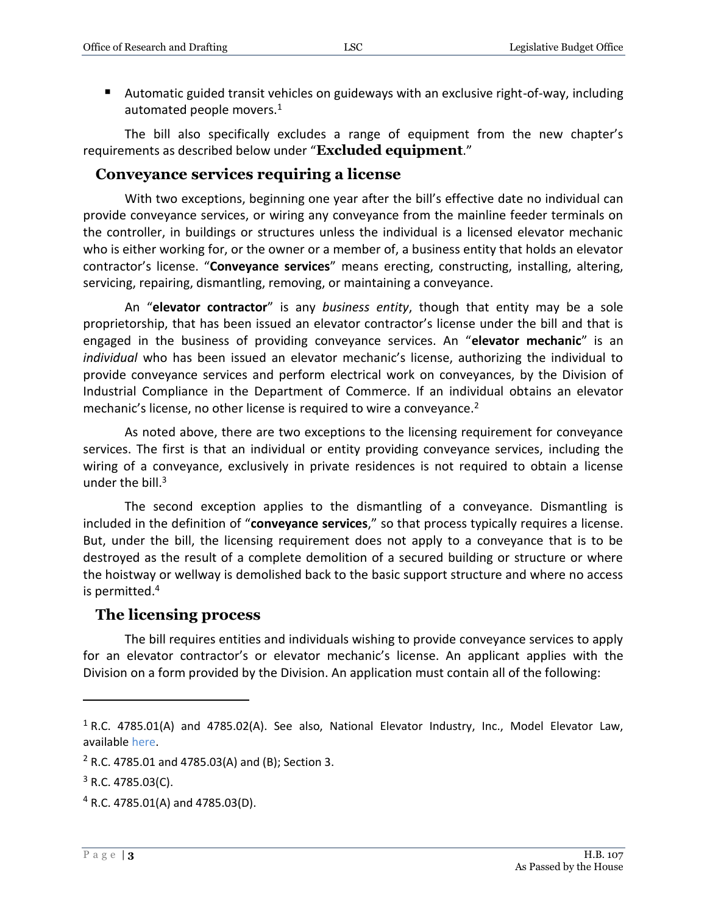Automatic guided transit vehicles on guideways with an exclusive right-of-way, including automated people movers. $1$ 

The bill also specifically excludes a range of equipment from the new chapter's requirements as described below under "**Excluded equipment**."

#### <span id="page-2-0"></span>**Conveyance services requiring a license**

With two exceptions, beginning one year after the bill's effective date no individual can provide conveyance services, or wiring any conveyance from the mainline feeder terminals on the controller, in buildings or structures unless the individual is a licensed elevator mechanic who is either working for, or the owner or a member of, a business entity that holds an elevator contractor's license. "**Conveyance services**" means erecting, constructing, installing, altering, servicing, repairing, dismantling, removing, or maintaining a conveyance.

An "**elevator contractor**" is any *business entity*, though that entity may be a sole proprietorship, that has been issued an elevator contractor's license under the bill and that is engaged in the business of providing conveyance services. An "**elevator mechanic**" is an *individual* who has been issued an elevator mechanic's license, authorizing the individual to provide conveyance services and perform electrical work on conveyances, by the Division of Industrial Compliance in the Department of Commerce. If an individual obtains an elevator mechanic's license, no other license is required to wire a conveyance.<sup>2</sup>

As noted above, there are two exceptions to the licensing requirement for conveyance services. The first is that an individual or entity providing conveyance services, including the wiring of a conveyance, exclusively in private residences is not required to obtain a license under the bill. $3$ 

The second exception applies to the dismantling of a conveyance. Dismantling is included in the definition of "**conveyance services**," so that process typically requires a license. But, under the bill, the licensing requirement does not apply to a conveyance that is to be destroyed as the result of a complete demolition of a secured building or structure or where the hoistway or wellway is demolished back to the basic support structure and where no access is permitted.<sup>4</sup>

#### <span id="page-2-1"></span>**The licensing process**

The bill requires entities and individuals wishing to provide conveyance services to apply for an elevator contractor's or elevator mechanic's license. An applicant applies with the Division on a form provided by the Division. An application must contain all of the following:

 $1$  R.C. 4785.01(A) and 4785.02(A). See also, National Elevator Industry, Inc., Model Elevator Law, [available here.](http://www.neii.org/pdf/model%20elevator%20law%20revision%203.pdf)

 $2$  R.C. 4785.01 and 4785.03(A) and (B); Section 3.

 $3$  R.C. 4785.03(C).

 $4$  R.C. 4785.01(A) and 4785.03(D).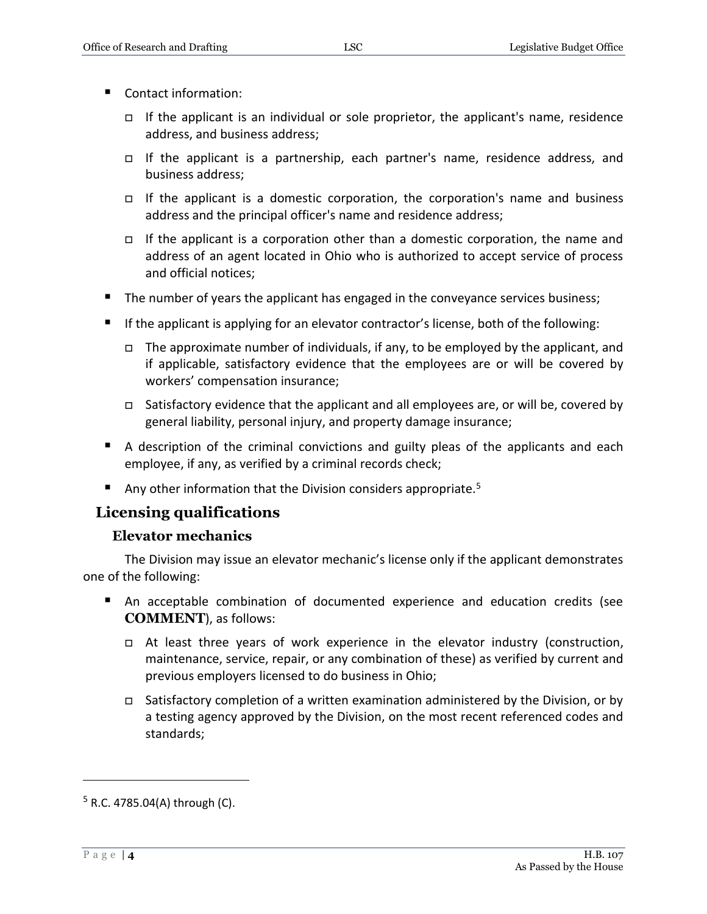- Contact information:
	- If the applicant is an individual or sole proprietor, the applicant's name, residence address, and business address;
	- If the applicant is a partnership, each partner's name, residence address, and business address;
	- If the applicant is a domestic corporation, the corporation's name and business address and the principal officer's name and residence address;
	- If the applicant is a corporation other than a domestic corporation, the name and address of an agent located in Ohio who is authorized to accept service of process and official notices;
- The number of years the applicant has engaged in the conveyance services business;
- **If the applicant is applying for an elevator contractor's license, both of the following:** 
	- $\Box$  The approximate number of individuals, if any, to be employed by the applicant, and if applicable, satisfactory evidence that the employees are or will be covered by workers' compensation insurance;
	- □ Satisfactory evidence that the applicant and all employees are, or will be, covered by general liability, personal injury, and property damage insurance;
- A description of the criminal convictions and guilty pleas of the applicants and each employee, if any, as verified by a criminal records check;
- Any other information that the Division considers appropriate.<sup>5</sup>

#### <span id="page-3-0"></span>**Licensing qualifications**

#### **Elevator mechanics**

<span id="page-3-1"></span>The Division may issue an elevator mechanic's license only if the applicant demonstrates one of the following:

- An acceptable combination of documented experience and education credits (see **COMMENT**), as follows:
	- $\Box$  At least three years of work experience in the elevator industry (construction, maintenance, service, repair, or any combination of these) as verified by current and previous employers licensed to do business in Ohio;
	- Satisfactory completion of a written examination administered by the Division, or by a testing agency approved by the Division, on the most recent referenced codes and standards;

 $5$  R.C. 4785.04(A) through (C).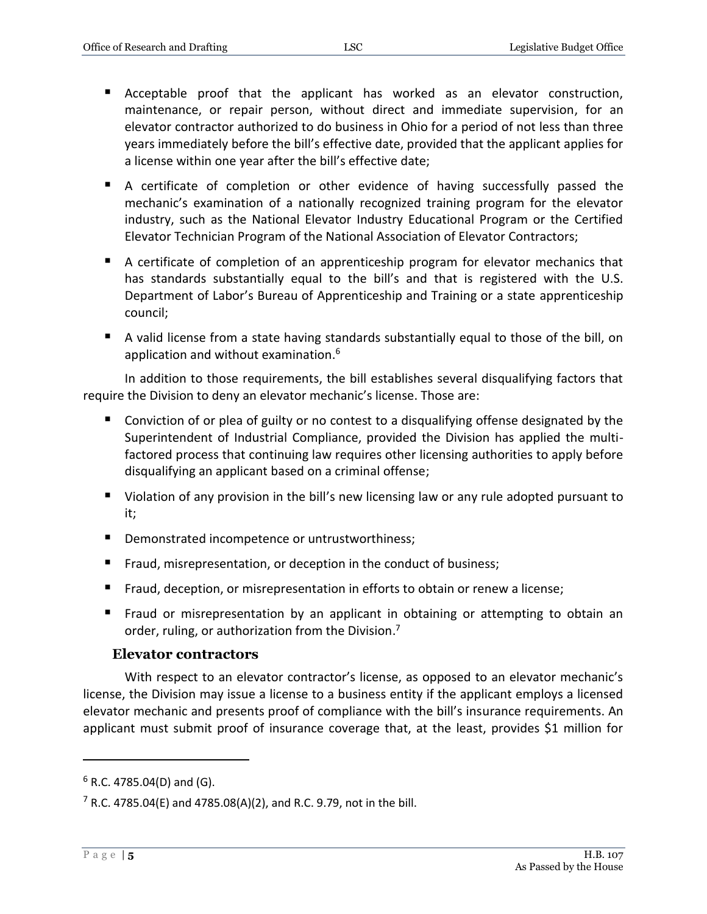- Acceptable proof that the applicant has worked as an elevator construction, maintenance, or repair person, without direct and immediate supervision, for an elevator contractor authorized to do business in Ohio for a period of not less than three years immediately before the bill's effective date, provided that the applicant applies for a license within one year after the bill's effective date;
- A certificate of completion or other evidence of having successfully passed the mechanic's examination of a nationally recognized training program for the elevator industry, such as the National Elevator Industry Educational Program or the Certified Elevator Technician Program of the National Association of Elevator Contractors;
- A certificate of completion of an apprenticeship program for elevator mechanics that has standards substantially equal to the bill's and that is registered with the U.S. Department of Labor's Bureau of Apprenticeship and Training or a state apprenticeship council;
- A valid license from a state having standards substantially equal to those of the bill, on application and without examination.<sup>6</sup>

In addition to those requirements, the bill establishes several disqualifying factors that require the Division to deny an elevator mechanic's license. Those are:

- Conviction of or plea of guilty or no contest to a disqualifying offense designated by the Superintendent of Industrial Compliance, provided the Division has applied the multifactored process that continuing law requires other licensing authorities to apply before disqualifying an applicant based on a criminal offense;
- Violation of any provision in the bill's new licensing law or any rule adopted pursuant to it;
- **Demonstrated incompetence or untrustworthiness;**
- **Fraud, misrepresentation, or deception in the conduct of business;**
- **Fraud, deception, or misrepresentation in efforts to obtain or renew a license;**
- **Fraud or misrepresentation by an applicant in obtaining or attempting to obtain an** order, ruling, or authorization from the Division.<sup>7</sup>

#### **Elevator contractors**

<span id="page-4-0"></span>With respect to an elevator contractor's license, as opposed to an elevator mechanic's license, the Division may issue a license to a business entity if the applicant employs a licensed elevator mechanic and presents proof of compliance with the bill's insurance requirements. An applicant must submit proof of insurance coverage that, at the least, provides \$1 million for

 $6$  R.C. 4785.04(D) and (G).

 $7$  R.C. 4785.04(E) and 4785.08(A)(2), and R.C. 9.79, not in the bill.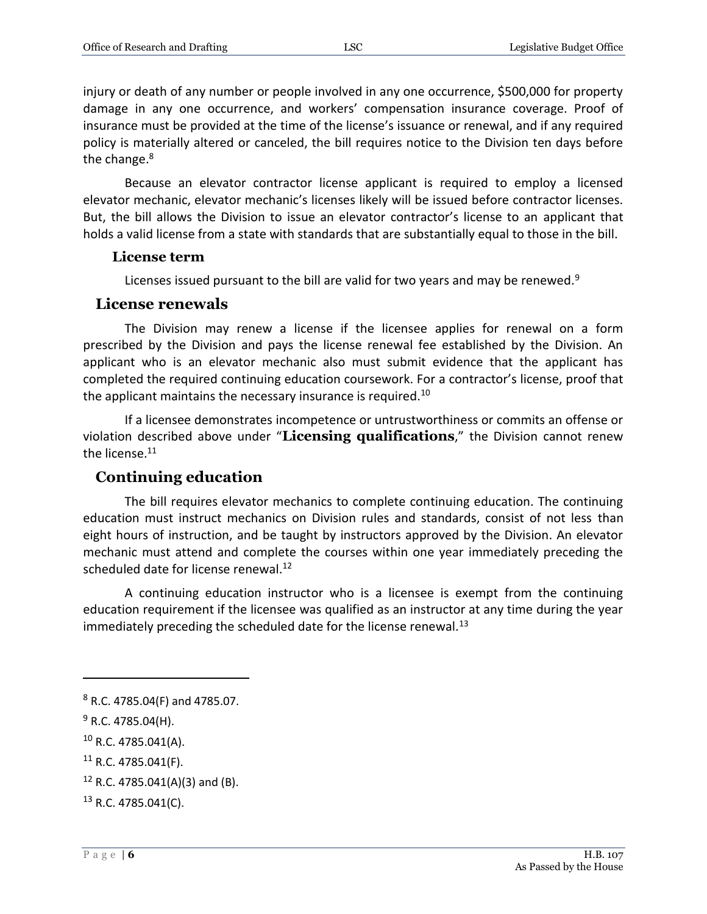injury or death of any number or people involved in any one occurrence, \$500,000 for property damage in any one occurrence, and workers' compensation insurance coverage. Proof of insurance must be provided at the time of the license's issuance or renewal, and if any required policy is materially altered or canceled, the bill requires notice to the Division ten days before the change.<sup>8</sup>

Because an elevator contractor license applicant is required to employ a licensed elevator mechanic, elevator mechanic's licenses likely will be issued before contractor licenses. But, the bill allows the Division to issue an elevator contractor's license to an applicant that holds a valid license from a state with standards that are substantially equal to those in the bill.

#### <span id="page-5-0"></span>**License term**

Licenses issued pursuant to the bill are valid for two years and may be renewed.<sup>9</sup>

#### <span id="page-5-1"></span>**License renewals**

The Division may renew a license if the licensee applies for renewal on a form prescribed by the Division and pays the license renewal fee established by the Division. An applicant who is an elevator mechanic also must submit evidence that the applicant has completed the required continuing education coursework. For a contractor's license, proof that the applicant maintains the necessary insurance is required.<sup>10</sup>

If a licensee demonstrates incompetence or untrustworthiness or commits an offense or violation described above under "**Licensing qualifications**," the Division cannot renew the license.<sup>11</sup>

#### <span id="page-5-2"></span>**Continuing education**

The bill requires elevator mechanics to complete continuing education. The continuing education must instruct mechanics on Division rules and standards, consist of not less than eight hours of instruction, and be taught by instructors approved by the Division. An elevator mechanic must attend and complete the courses within one year immediately preceding the scheduled date for license renewal.<sup>12</sup>

A continuing education instructor who is a licensee is exempt from the continuing education requirement if the licensee was qualified as an instructor at any time during the year immediately preceding the scheduled date for the license renewal.<sup>13</sup>

 $\overline{a}$ 

<sup>10</sup> R.C. 4785.041(A).

<sup>8</sup> R.C. 4785.04(F) and 4785.07.

 $9$  R.C. 4785.04(H).

 $11$  R.C. 4785.041(F).

 $12$  R.C. 4785.041(A)(3) and (B).

<sup>13</sup> R.C. 4785.041(C).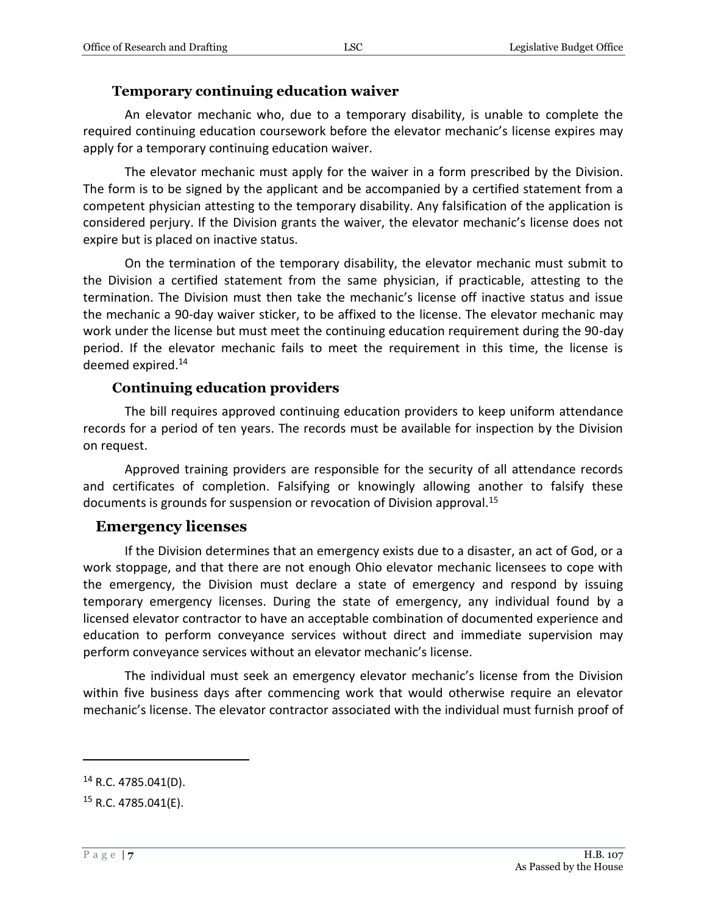#### **Temporary continuing education waiver**

<span id="page-6-0"></span>An elevator mechanic who, due to a temporary disability, is unable to complete the required continuing education coursework before the elevator mechanic's license expires may apply for a temporary continuing education waiver.

The elevator mechanic must apply for the waiver in a form prescribed by the Division. The form is to be signed by the applicant and be accompanied by a certified statement from a competent physician attesting to the temporary disability. Any falsification of the application is considered perjury. If the Division grants the waiver, the elevator mechanic's license does not expire but is placed on inactive status.

On the termination of the temporary disability, the elevator mechanic must submit to the Division a certified statement from the same physician, if practicable, attesting to the termination. The Division must then take the mechanic's license off inactive status and issue the mechanic a 90-day waiver sticker, to be affixed to the license. The elevator mechanic may work under the license but must meet the continuing education requirement during the 90-day period. If the elevator mechanic fails to meet the requirement in this time, the license is deemed expired.<sup>14</sup>

#### **Continuing education providers**

<span id="page-6-1"></span>The bill requires approved continuing education providers to keep uniform attendance records for a period of ten years. The records must be available for inspection by the Division on request.

Approved training providers are responsible for the security of all attendance records and certificates of completion. Falsifying or knowingly allowing another to falsify these documents is grounds for suspension or revocation of Division approval.<sup>15</sup>

#### <span id="page-6-2"></span>**Emergency licenses**

If the Division determines that an emergency exists due to a disaster, an act of God, or a work stoppage, and that there are not enough Ohio elevator mechanic licensees to cope with the emergency, the Division must declare a state of emergency and respond by issuing temporary emergency licenses. During the state of emergency, any individual found by a licensed elevator contractor to have an acceptable combination of documented experience and education to perform conveyance services without direct and immediate supervision may perform conveyance services without an elevator mechanic's license.

The individual must seek an emergency elevator mechanic's license from the Division within five business days after commencing work that would otherwise require an elevator mechanic's license. The elevator contractor associated with the individual must furnish proof of

 $14$  R.C. 4785.041(D).

 $15$  R.C. 4785.041(E).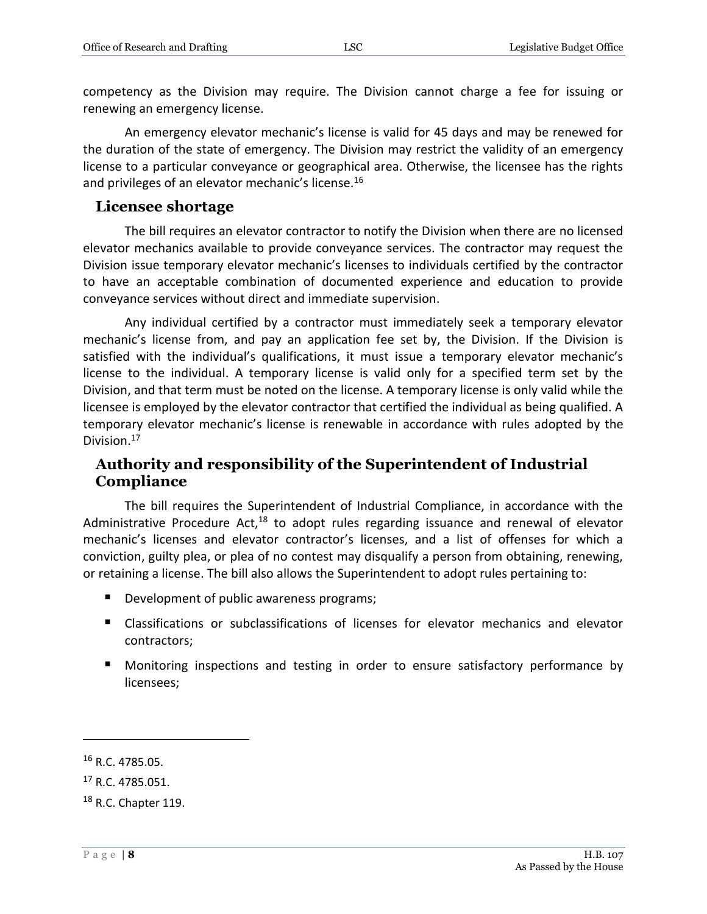competency as the Division may require. The Division cannot charge a fee for issuing or renewing an emergency license.

An emergency elevator mechanic's license is valid for 45 days and may be renewed for the duration of the state of emergency. The Division may restrict the validity of an emergency license to a particular conveyance or geographical area. Otherwise, the licensee has the rights and privileges of an elevator mechanic's license.<sup>16</sup>

#### <span id="page-7-0"></span>**Licensee shortage**

The bill requires an elevator contractor to notify the Division when there are no licensed elevator mechanics available to provide conveyance services. The contractor may request the Division issue temporary elevator mechanic's licenses to individuals certified by the contractor to have an acceptable combination of documented experience and education to provide conveyance services without direct and immediate supervision.

Any individual certified by a contractor must immediately seek a temporary elevator mechanic's license from, and pay an application fee set by, the Division. If the Division is satisfied with the individual's qualifications, it must issue a temporary elevator mechanic's license to the individual. A temporary license is valid only for a specified term set by the Division, and that term must be noted on the license. A temporary license is only valid while the licensee is employed by the elevator contractor that certified the individual as being qualified. A temporary elevator mechanic's license is renewable in accordance with rules adopted by the Division.<sup>17</sup>

#### <span id="page-7-1"></span>**Authority and responsibility of the Superintendent of Industrial Compliance**

The bill requires the Superintendent of Industrial Compliance, in accordance with the Administrative Procedure Act, $18$  to adopt rules regarding issuance and renewal of elevator mechanic's licenses and elevator contractor's licenses, and a list of offenses for which a conviction, guilty plea, or plea of no contest may disqualify a person from obtaining, renewing, or retaining a license. The bill also allows the Superintendent to adopt rules pertaining to:

- Development of public awareness programs;
- Classifications or subclassifications of licenses for elevator mechanics and elevator contractors;
- **Monitoring inspections and testing in order to ensure satisfactory performance by** licensees;

<sup>16</sup> R.C. 4785.05.

<sup>&</sup>lt;sup>17</sup> R.C. 4785.051.

<sup>18</sup> R.C. Chapter 119.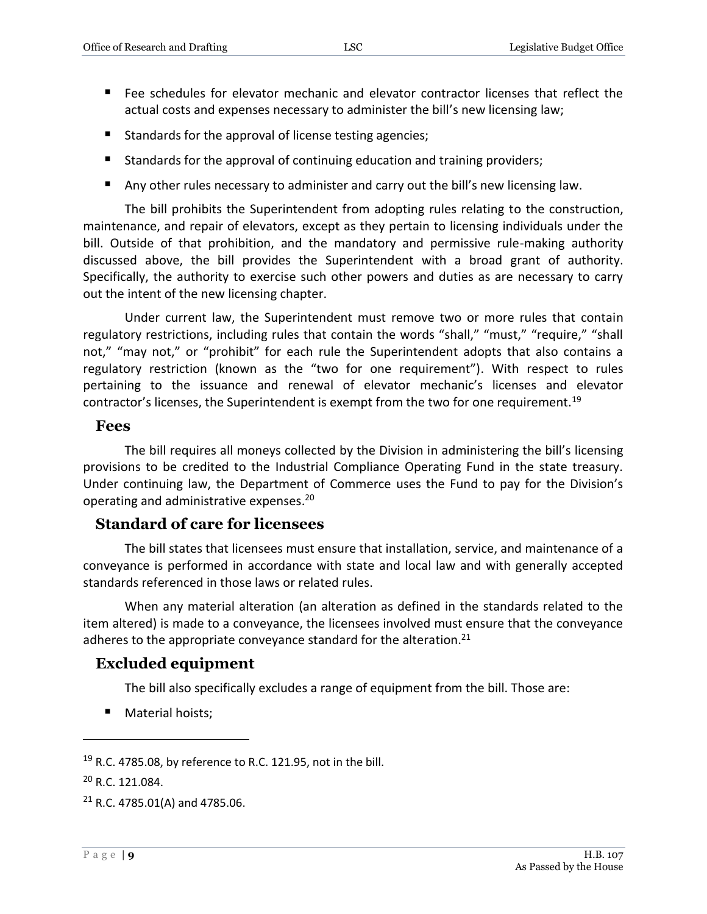- Fee schedules for elevator mechanic and elevator contractor licenses that reflect the actual costs and expenses necessary to administer the bill's new licensing law;
- Standards for the approval of license testing agencies;
- Standards for the approval of continuing education and training providers;
- Any other rules necessary to administer and carry out the bill's new licensing law.

The bill prohibits the Superintendent from adopting rules relating to the construction, maintenance, and repair of elevators, except as they pertain to licensing individuals under the bill. Outside of that prohibition, and the mandatory and permissive rule-making authority discussed above, the bill provides the Superintendent with a broad grant of authority. Specifically, the authority to exercise such other powers and duties as are necessary to carry out the intent of the new licensing chapter.

Under current law, the Superintendent must remove two or more rules that contain regulatory restrictions, including rules that contain the words "shall," "must," "require," "shall not," "may not," or "prohibit" for each rule the Superintendent adopts that also contains a regulatory restriction (known as the "two for one requirement"). With respect to rules pertaining to the issuance and renewal of elevator mechanic's licenses and elevator contractor's licenses, the Superintendent is exempt from the two for one requirement.<sup>19</sup>

#### <span id="page-8-0"></span>**Fees**

The bill requires all moneys collected by the Division in administering the bill's licensing provisions to be credited to the Industrial Compliance Operating Fund in the state treasury. Under continuing law, the Department of Commerce uses the Fund to pay for the Division's operating and administrative expenses. 20

#### <span id="page-8-1"></span>**Standard of care for licensees**

The bill states that licensees must ensure that installation, service, and maintenance of a conveyance is performed in accordance with state and local law and with generally accepted standards referenced in those laws or related rules.

When any material alteration (an alteration as defined in the standards related to the item altered) is made to a conveyance, the licensees involved must ensure that the conveyance adheres to the appropriate conveyance standard for the alteration.<sup>21</sup>

#### <span id="page-8-2"></span>**Excluded equipment**

The bill also specifically excludes a range of equipment from the bill. Those are:

**Material hoists;** 

 $19$  R.C. 4785.08, by reference to R.C. 121.95, not in the bill.

<sup>20</sup> R.C. 121.084.

 $21$  R.C. 4785.01(A) and 4785.06.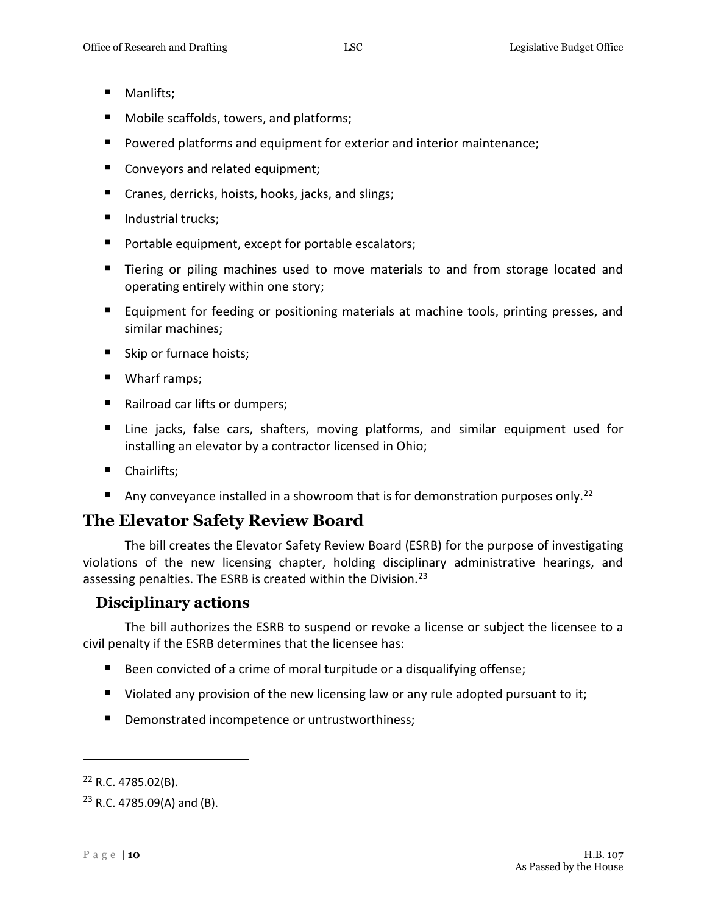- **Manlifts**;
- Mobile scaffolds, towers, and platforms;
- Powered platforms and equipment for exterior and interior maintenance;
- Conveyors and related equipment;
- Cranes, derricks, hoists, hooks, jacks, and slings;
- Industrial trucks;
- **Portable equipment, except for portable escalators;**
- Tiering or piling machines used to move materials to and from storage located and operating entirely within one story;
- **Equipment for feeding or positioning materials at machine tools, printing presses, and** similar machines;
- Skip or furnace hoists;
- Wharf ramps;
- Railroad car lifts or dumpers;
- Line jacks, false cars, shafters, moving platforms, and similar equipment used for installing an elevator by a contractor licensed in Ohio;
- Chairlifts;
- Any conveyance installed in a showroom that is for demonstration purposes only.<sup>22</sup>

#### <span id="page-9-0"></span>**The Elevator Safety Review Board**

The bill creates the Elevator Safety Review Board (ESRB) for the purpose of investigating violations of the new licensing chapter, holding disciplinary administrative hearings, and assessing penalties. The ESRB is created within the Division.<sup>23</sup>

#### <span id="page-9-1"></span>**Disciplinary actions**

The bill authorizes the ESRB to suspend or revoke a license or subject the licensee to a civil penalty if the ESRB determines that the licensee has:

- Been convicted of a crime of moral turpitude or a disqualifying offense;
- $\blacksquare$  Violated any provision of the new licensing law or any rule adopted pursuant to it;
- **Demonstrated incompetence or untrustworthiness;**

 $22$  R.C. 4785.02(B).

 $23$  R.C. 4785.09(A) and (B).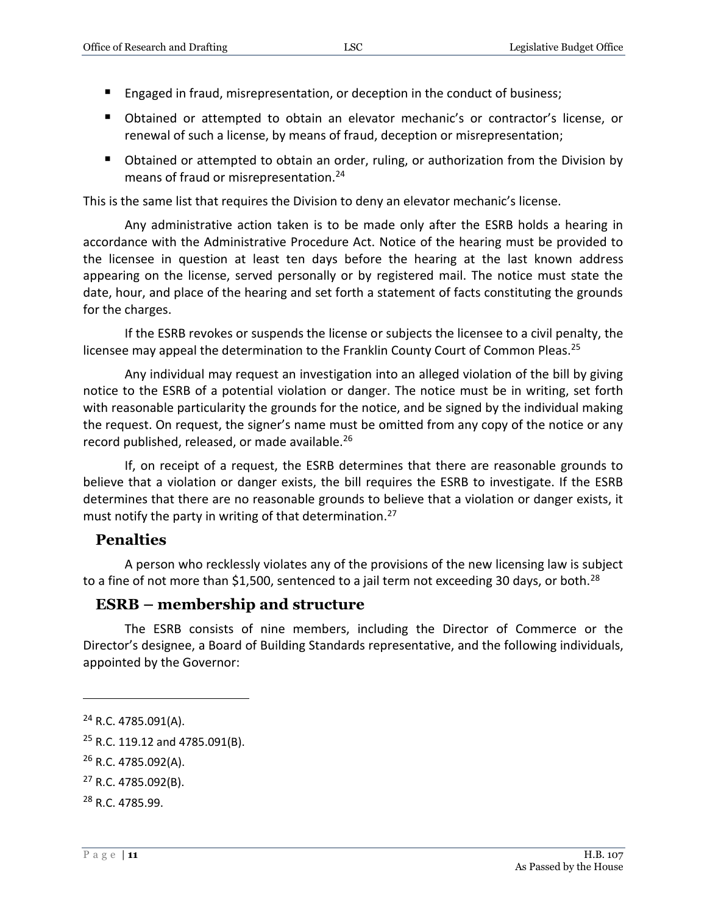- **E** Engaged in fraud, misrepresentation, or deception in the conduct of business;
- Obtained or attempted to obtain an elevator mechanic's or contractor's license, or renewal of such a license, by means of fraud, deception or misrepresentation;
- Obtained or attempted to obtain an order, ruling, or authorization from the Division by means of fraud or misrepresentation.<sup>24</sup>

This is the same list that requires the Division to deny an elevator mechanic's license.

Any administrative action taken is to be made only after the ESRB holds a hearing in accordance with the Administrative Procedure Act. Notice of the hearing must be provided to the licensee in question at least ten days before the hearing at the last known address appearing on the license, served personally or by registered mail. The notice must state the date, hour, and place of the hearing and set forth a statement of facts constituting the grounds for the charges.

If the ESRB revokes or suspends the license or subjects the licensee to a civil penalty, the licensee may appeal the determination to the Franklin County Court of Common Pleas.<sup>25</sup>

Any individual may request an investigation into an alleged violation of the bill by giving notice to the ESRB of a potential violation or danger. The notice must be in writing, set forth with reasonable particularity the grounds for the notice, and be signed by the individual making the request. On request, the signer's name must be omitted from any copy of the notice or any record published, released, or made available.<sup>26</sup>

If, on receipt of a request, the ESRB determines that there are reasonable grounds to believe that a violation or danger exists, the bill requires the ESRB to investigate. If the ESRB determines that there are no reasonable grounds to believe that a violation or danger exists, it must notify the party in writing of that determination.<sup>27</sup>

#### <span id="page-10-0"></span>**Penalties**

A person who recklessly violates any of the provisions of the new licensing law is subject to a fine of not more than \$1,500, sentenced to a jail term not exceeding 30 days, or both.<sup>28</sup>

#### <span id="page-10-1"></span>**ESRB – membership and structure**

The ESRB consists of nine members, including the Director of Commerce or the Director's designee, a Board of Building Standards representative, and the following individuals, appointed by the Governor:

<sup>24</sup> R.C. 4785.091(A).

 $25$  R.C. 119.12 and 4785.091(B).

<sup>26</sup> R.C. 4785.092(A).

<sup>27</sup> R.C. 4785.092(B).

<sup>28</sup> R.C. 4785.99.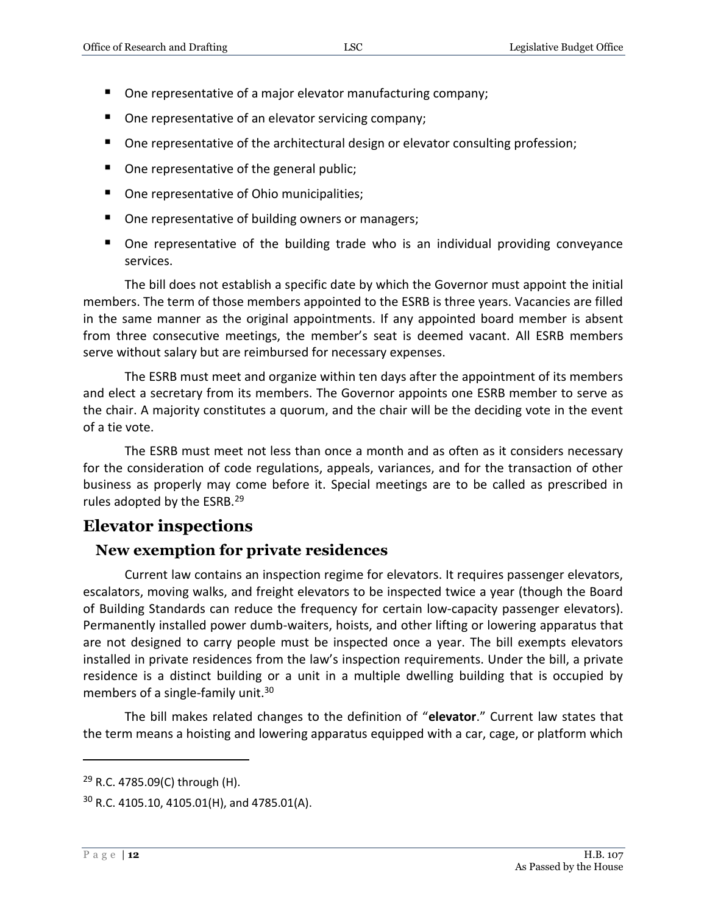- One representative of a major elevator manufacturing company;
- One representative of an elevator servicing company;
- One representative of the architectural design or elevator consulting profession;
- One representative of the general public;
- One representative of Ohio municipalities;
- One representative of building owners or managers;
- One representative of the building trade who is an individual providing conveyance services.

The bill does not establish a specific date by which the Governor must appoint the initial members. The term of those members appointed to the ESRB is three years. Vacancies are filled in the same manner as the original appointments. If any appointed board member is absent from three consecutive meetings, the member's seat is deemed vacant. All ESRB members serve without salary but are reimbursed for necessary expenses.

The ESRB must meet and organize within ten days after the appointment of its members and elect a secretary from its members. The Governor appoints one ESRB member to serve as the chair. A majority constitutes a quorum, and the chair will be the deciding vote in the event of a tie vote.

The ESRB must meet not less than once a month and as often as it considers necessary for the consideration of code regulations, appeals, variances, and for the transaction of other business as properly may come before it. Special meetings are to be called as prescribed in rules adopted by the ESRB.<sup>29</sup>

#### <span id="page-11-0"></span>**Elevator inspections**

#### <span id="page-11-1"></span>**New exemption for private residences**

Current law contains an inspection regime for elevators. It requires passenger elevators, escalators, moving walks, and freight elevators to be inspected twice a year (though the Board of Building Standards can reduce the frequency for certain low-capacity passenger elevators). Permanently installed power dumb-waiters, hoists, and other lifting or lowering apparatus that are not designed to carry people must be inspected once a year. The bill exempts elevators installed in private residences from the law's inspection requirements. Under the bill, a private residence is a distinct building or a unit in a multiple dwelling building that is occupied by members of a single-family unit.<sup>30</sup>

The bill makes related changes to the definition of "**elevator**." Current law states that the term means a hoisting and lowering apparatus equipped with a car, cage, or platform which

 $29$  R.C. 4785.09(C) through (H).

 $30$  R.C. 4105.10, 4105.01(H), and 4785.01(A).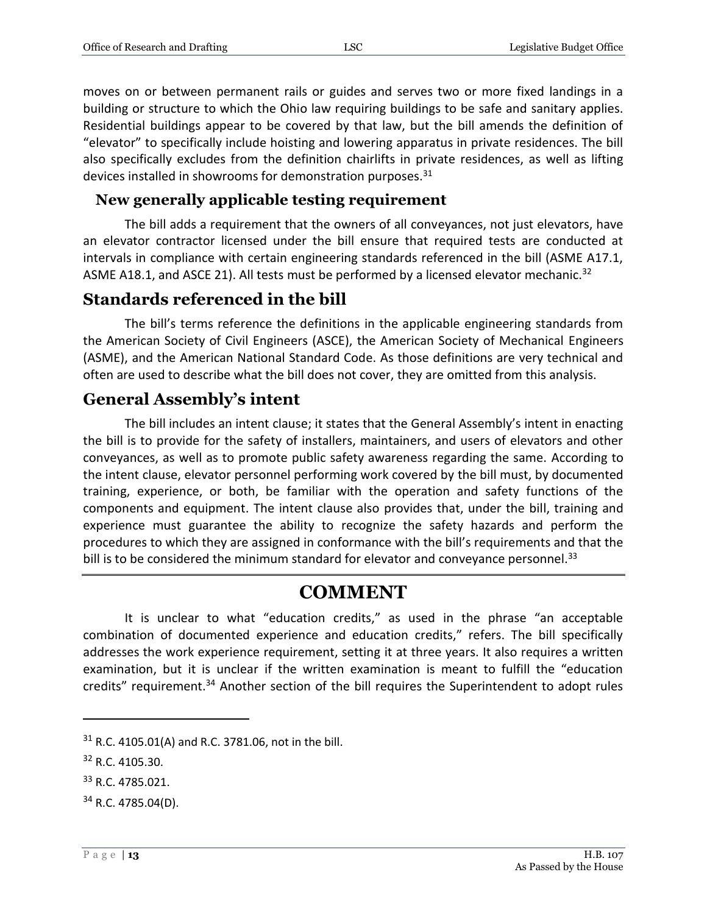moves on or between permanent rails or guides and serves two or more fixed landings in a building or structure to which the Ohio law requiring buildings to be safe and sanitary applies. Residential buildings appear to be covered by that law, but the bill amends the definition of "elevator" to specifically include hoisting and lowering apparatus in private residences. The bill also specifically excludes from the definition chairlifts in private residences, as well as lifting devices installed in showrooms for demonstration purposes.<sup>31</sup>

#### <span id="page-12-0"></span>**New generally applicable testing requirement**

The bill adds a requirement that the owners of all conveyances, not just elevators, have an elevator contractor licensed under the bill ensure that required tests are conducted at intervals in compliance with certain engineering standards referenced in the bill (ASME A17.1, ASME A18.1, and ASCE 21). All tests must be performed by a licensed elevator mechanic.<sup>32</sup>

#### <span id="page-12-1"></span>**Standards referenced in the bill**

The bill's terms reference the definitions in the applicable engineering standards from the American Society of Civil Engineers (ASCE), the American Society of Mechanical Engineers (ASME), and the American National Standard Code. As those definitions are very technical and often are used to describe what the bill does not cover, they are omitted from this analysis.

#### <span id="page-12-2"></span>**General Assembly's intent**

The bill includes an intent clause; it states that the General Assembly's intent in enacting the bill is to provide for the safety of installers, maintainers, and users of elevators and other conveyances, as well as to promote public safety awareness regarding the same. According to the intent clause, elevator personnel performing work covered by the bill must, by documented training, experience, or both, be familiar with the operation and safety functions of the components and equipment. The intent clause also provides that, under the bill, training and experience must guarantee the ability to recognize the safety hazards and perform the procedures to which they are assigned in conformance with the bill's requirements and that the bill is to be considered the minimum standard for elevator and conveyance personnel.<sup>33</sup>

## **COMMENT**

It is unclear to what "education credits," as used in the phrase "an acceptable combination of documented experience and education credits," refers. The bill specifically addresses the work experience requirement, setting it at three years. It also requires a written examination, but it is unclear if the written examination is meant to fulfill the "education credits" requirement.<sup>34</sup> Another section of the bill requires the Superintendent to adopt rules

 $31$  R.C. 4105.01(A) and R.C. 3781.06, not in the bill.

<sup>32</sup> R.C. 4105.30.

<sup>33</sup> R.C. 4785.021.

<sup>34</sup> R.C. 4785.04(D).